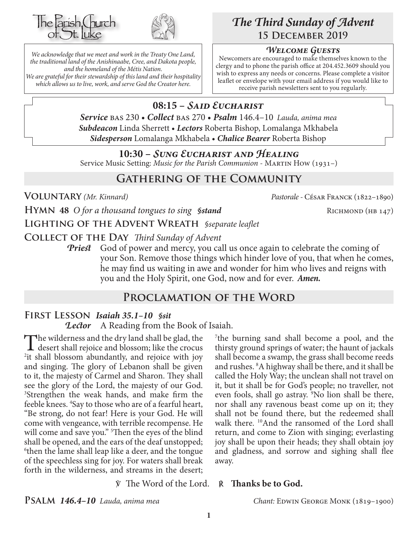



*We acknowledge that we meet and work in the Treaty One Land, the traditional land of the Anishinaabe, Cree, and Dakota people, and the homeland of the Métis Nation. We are grateful for their stewardship of this land and their hospitality which allows us to live, work, and serve God the Creator here.*

# *The Third Sunday of Advent* **15 December 2019**

## *Welcome Guests*

Newcomers are encouraged to make themselves known to the clergy and to phone the parish office at 204.452.3609 should you wish to express any needs or concerns. Please complete a visitor leaflet or envelope with your email address if you would like to receive parish newsletters sent to you regularly.

# **08:15 –** *Said Eucharist*

*Service* bas 230 • *Collect* bas 270 • *Psalm* 146.4–10 *Lauda, anima mea Subdeacon* Linda Sherrett • *Lectors* Roberta Bishop, Lomalanga Mkhabela *Sidesperson* Lomalanga Mkhabela • *Chalice Bearer* Roberta Bishop

## **10:30 –** *Sung Eucharist and Healing*

Service Music Setting: *Music for the Parish Communion* - MARTIN How (1931–)

# **Gathering of the Community**

**Voluntary** *(Mr. Kinnard) Pastorale -* César Franck (1822–1890)

**HYMN** 48 O for a thousand tongues to sing *§stand* RICHMOND (HB 147)

**Lighting of the Advent Wreath** *§separate leaflet*

**Collect of the Day** *Third Sunday of Advent*

*Priest* God of power and mercy, you call us once again to celebrate the coming of your Son. Remove those things which hinder love of you, that when he comes, he may find us waiting in awe and wonder for him who lives and reigns with you and the Holy Spirit, one God, now and for ever.*Amen.*

# **Proclamation of the Word**

## **First Lesson** *Isaiah 35.1–10 §sit*

*Lector* A Reading from the Book of Isaiah.

The wilderness and the dry land shall be glad, the desert shall rejoice and blossom; like the crocus 2 it shall blossom abundantly, and rejoice with joy and singing. The glory of Lebanon shall be given to it, the majesty of Carmel and Sharon. They shall see the glory of the Lord, the majesty of our God. 3 Strengthen the weak hands, and make firm the feeble knees. 4 Say to those who are of a fearful heart, "Be strong, do not fear! Here is your God. He will come with vengeance, with terrible recompense. He will come and save you." 5 Then the eyes of the blind shall be opened, and the ears of the deaf unstopped; 6 then the lame shall leap like a deer, and the tongue of the speechless sing for joy. For waters shall break forth in the wilderness, and streams in the desert;

7 the burning sand shall become a pool, and the thirsty ground springs of water; the haunt of jackals shall become a swamp, the grass shall become reeds and rushes. 8 A highway shall be there, and it shall be called the Holy Way; the unclean shall not travel on it, but it shall be for God's people; no traveller, not even fools, shall go astray. 9 No lion shall be there, nor shall any ravenous beast come up on it; they shall not be found there, but the redeemed shall walk there. 10And the ransomed of the Lord shall return, and come to Zion with singing; everlasting joy shall be upon their heads; they shall obtain joy and gladness, and sorrow and sighing shall flee away.

℣ The Word of the Lord. ℟ **Thanks be to God.**

**PSALM 146.4–10** *Lauda, anima mea Chant: EDWIN GEORGE MONK* (1819–1900)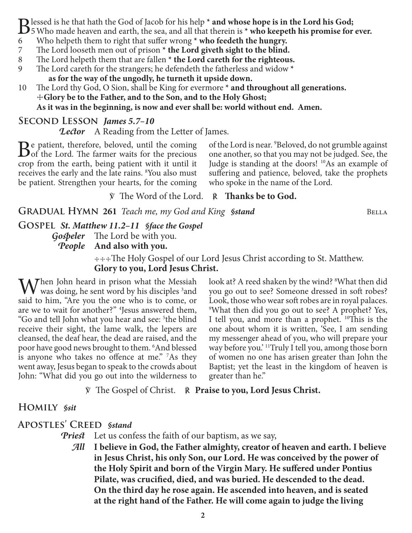Blessed is he that hath the God of Jacob for his help **\* and whose hope is in the Lord his God;**<br>5 Who made heaven and earth, the sea, and all that therein is **\* who keepeth his promise for ever.** 

- 6 Who helpeth them to right that suffer wrong **\* who feedeth the hungry.**
- 7 The Lord looseth men out of prison  $*$  **the Lord giveth sight to the blind.**<br>8 The Lord helpeth them that are fallen  $*$  **the Lord careth for the righteous**
- The Lord helpeth them that are fallen  $*$  the Lord careth for the righteous.
- 9 The Lord careth for the strangers; he defendeth the fatherless and widow **\* as for the way of the ungodly, he turneth it upside down.**
- 10 The Lord thy God, O Sion, shall be King for evermore **\* and throughout all generations.** ☩**Glory be to the Father, and to the Son, and to the Holy Ghost; As it was in the beginning, is now and ever shall be: world without end. Amen.**

## **Second Lesson** *James 5.7–10*

*Lector* A Reading from the Letter of James.

Be patient, therefore, beloved, until the coming<br>
of the Lord. The farmer waits for the precious<br>
one from the earth heing patient with it until it. crop from the earth, being patient with it until it receives the early and the late rains. <sup>8</sup>You also must be patient. Strengthen your hearts, for the coming

of the Lord is near. <sup>9</sup> Beloved, do not grumble against one another, so that you may not be judged. See, the Judge is standing at the doors! 10As an example of suffering and patience, beloved, take the prophets who spoke in the name of the Lord.

℣ The Word of the Lord. ℟ **Thanks be to God.**

**GRADUAL HYMN 261** *Teach me, my God and King §stand* BELLA

**Gospel** *St. Matthew 11.2–11 §face the Gospel Gospeler* The Lord be with you. *People* **And also with you.**

> ☩☩☩The Holy Gospel of our Lord Jesus Christ according to St. Matthew. **Glory to you, Lord Jesus Christ.**

When John heard in prison what the Messiah was doing, he sent word by his disciples <sup>3</sup> and said to him, "Are you the one who is to come, or are we to wait for another?" 4 Jesus answered them, "Go and tell John what you hear and see: <sup>5</sup>the blind receive their sight, the lame walk, the lepers are cleansed, the deaf hear, the dead are raised, and the poor have good news brought to them. 6 And blessed is anyone who takes no offence at me." <sup>7</sup>As they went away, Jesus began to speak to the crowds about John: "What did you go out into the wilderness to

look at? A reed shaken by the wind? <sup>8</sup>What then did you go out to see? Someone dressed in soft robes? Look, those who wear soft robes are in royal palaces. 9 What then did you go out to see? A prophet? Yes, I tell you, and more than a prophet. 10This is the one about whom it is written, 'See, I am sending my messenger ahead of you, who will prepare your way before you.' 11Truly I tell you, among those born of women no one has arisen greater than John the Baptist; yet the least in the kingdom of heaven is greater than he."

℣ The Gospel of Christ. ℟ **Praise to you, Lord Jesus Christ.**

## **Homily** *§sit*

# **Apostles' Creed** *§stand*

- *Priest* Let us confess the faith of our baptism, as we say,
	- *All* **I believe in God, the Father almighty, creator of heaven and earth. I believe in Jesus Christ, his only Son, our Lord. He was conceived by the power of the Holy Spirit and born of the Virgin Mary. He suffered under Pontius Pilate, was crucified, died, and was buried. He descended to the dead. On the third day he rose again. He ascended into heaven, and is seated at the right hand of the Father. He will come again to judge the living**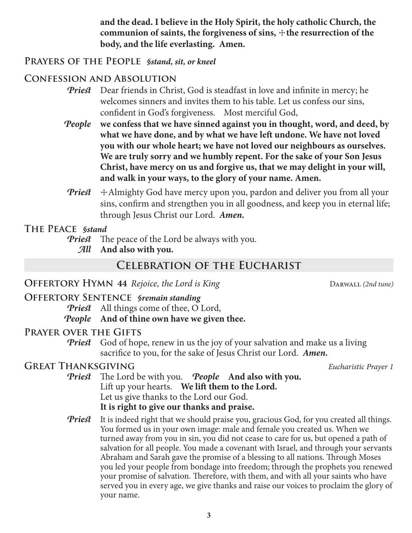**and the dead. I believe in the Holy Spirit, the holy catholic Church, the communion of saints, the forgiveness of sins,**  $\pm$  **the resurrection of the body, and the life everlasting. Amen.**

## **Prayers of the People** *§stand, sit, or kneel*

## **Confession and Absolution**

- *Priest* Dear friends in Christ, God is steadfast in love and infinite in mercy; he welcomes sinners and invites them to his table. Let us confess our sins, confident in God's forgiveness. Most merciful God,
- *People* **we confess that we have sinned against you in thought, word, and deed, by what we have done, and by what we have left undone. We have not loved you with our whole heart; we have not loved our neighbours as ourselves. We are truly sorry and we humbly repent. For the sake of your Son Jesus Christ, have mercy on us and forgive us, that we may delight in your will, and walk in your ways, to the glory of your name. Amen.**
- *Priest*  $\pm$  Almighty God have mercy upon you, pardon and deliver you from all your sins, confirm and strengthen you in all goodness, and keep you in eternal life; through Jesus Christ our Lord.*Amen.*

## **The Peace** *§stand*

*Priest* The peace of the Lord be always with you.

*All* **And also with you.**

# **Celebration of the Eucharist**

## **Offertory Hymn 44** *Rejoice, the Lord is King* Darwall *(2nd tune)*

**Offertory Sentence** *§remain standing*

*Priest* All things come of thee, O Lord,

## *People* **And of thine own have we given thee.**

## **Prayer over the Gifts**

*Priest* God of hope, renew in us the joy of your salvation and make us a living sacrifice to you, for the sake of Jesus Christ our Lord. *Amen.*

## **Great Thanksgiving** *Eucharistic Prayer 1*

- *Priest* The Lord be with you. *People* **And also with you.** Lift up your hearts. **We lift them to the Lord.** Let us give thanks to the Lord our God. **It is right to give our thanks and praise.**
- *Priest* It is indeed right that we should praise you, gracious God, for you created all things. You formed us in your own image: male and female you created us. When we turned away from you in sin, you did not cease to care for us, but opened a path of salvation for all people. You made a covenant with Israel, and through your servants Abraham and Sarah gave the promise of a blessing to all nations. Through Moses you led your people from bondage into freedom; through the prophets you renewed your promise of salvation. Therefore, with them, and with all your saints who have served you in every age, we give thanks and raise our voices to proclaim the glory of your name.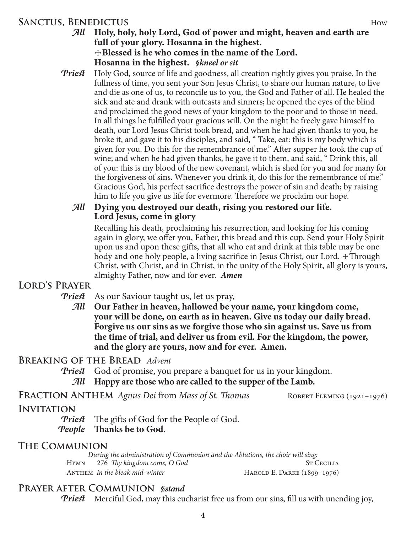## **SANCTUS, BENEDICTUS** How

- *All* **Holy, holy, holy Lord, God of power and might, heaven and earth are full of your glory. Hosanna in the highest.** ☩**Blessed is he who comes in the name of the Lord. Hosanna in the highest.** *§kneel or sit*
- *Priest* Holy God, source of life and goodness, all creation rightly gives you praise. In the fullness of time, you sent your Son Jesus Christ, to share our human nature, to live and die as one of us, to reconcile us to you, the God and Father of all. He healed the sick and ate and drank with outcasts and sinners; he opened the eyes of the blind and proclaimed the good news of your kingdom to the poor and to those in need. In all things he fulfilled your gracious will. On the night he freely gave himself to death, our Lord Jesus Christ took bread, and when he had given thanks to you, he broke it, and gave it to his disciples, and said, " Take, eat: this is my body which is given for you. Do this for the remembrance of me." After supper he took the cup of wine; and when he had given thanks, he gave it to them, and said, " Drink this, all of you: this is my blood of the new covenant, which is shed for you and for many for the forgiveness of sins. Whenever you drink it, do this for the remembrance of me." Gracious God, his perfect sacrifice destroys the power of sin and death; by raising him to life you give us life for evermore. Therefore we proclaim our hope.

#### *All* **Dying you destroyed our death, rising you restored our life. Lord Jesus, come in glory**

Recalling his death, proclaiming his resurrection, and looking for his coming again in glory, we offer you, Father, this bread and this cup. Send your Holy Spirit upon us and upon these gifts, that all who eat and drink at this table may be one body and one holy people, a living sacrifice in Jesus Christ, our Lord. +Through Christ, with Christ, and in Christ, in the unity of the Holy Spirit, all glory is yours, almighty Father, now and for ever. *Amen*

## **Lord's Prayer**

*Priest* As our Saviour taught us, let us pray,

*All* **Our Father in heaven, hallowed be your name, your kingdom come, your will be done, on earth as in heaven. Give us today our daily bread. Forgive us our sins as we forgive those who sin against us. Save us from the time of trial, and deliver us from evil. For the kingdom, the power, and the glory are yours, now and for ever. Amen.**

#### **Breaking of the Bread** *Advent*

*Priest* God of promise, you prepare a banquet for us in your kingdom. *All* **Happy are those who are called to the supper of the Lamb.**

FRACTION ANTHEM *Agnus Dei* from *Mass of St. Thomas* ROBERT FLEMING (1921-1976)

#### **Invitation**

*Priest* The gifts of God for the People of God. *People* **Thanks be to God.**

## **The Communion**

*During the administration of Communion and the Ablutions, the choir will sing:* Hymn 276 *Thy kingdom come, O God* St Cecilia ANTHEM *In the bleak mid-winter* **HAROLD E. DARKE** (1899–1976)

## **Prayer after Communion** *§stand*

*Priest* Merciful God, may this eucharist free us from our sins, fill us with unending joy,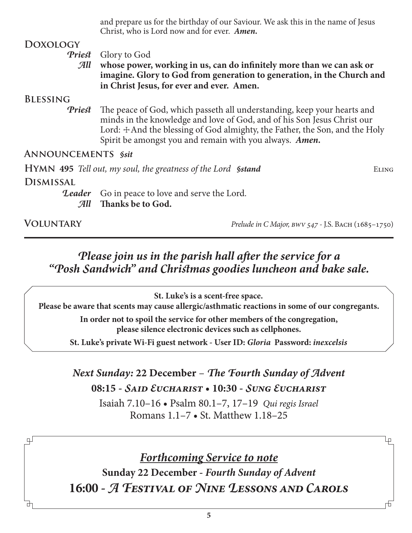and prepare us for the birthday of our Saviour. We ask this in the name of Jesus Christ, who is Lord now and for ever. *Amen.*

#### **Doxology**

*Priest* Glory to God

*All* **whose power, working in us, can do infinitely more than we can ask or imagine. Glory to God from generation to generation, in the Church and in Christ Jesus, for ever and ever. Amen.**

#### **Blessing**

*Priest* The peace of God, which passeth all understanding, keep your hearts and minds in the knowledge and love of God, and of his Son Jesus Christ our Lord:  $\pm$ And the blessing of God almighty, the Father, the Son, and the Holy Spirit be amongst you and remain with you always. *Amen.*

#### **Announcements** *§sit*

**HYMN** 495 Tell out, my soul, the greatness of the Lord **Sstand** ELING

ط

#### **Dismissal**

**Leader** Go in peace to love and serve the Lord. *All* **Thanks be to God.**

பு

击

**Voluntary** *Prelude in C Major, bwv 547 -* J.S. Bach (1685–1750)

# *Please join us in the parish hall after the service for a "Posh Sandwich" and Christmas goodies luncheon and bake sale.*

**St. Luke's is a scent-free space.**

**Please be aware that scents may cause allergic/asthmatic reactions in some of our congregants.**

**In order not to spoil the service for other members of the congregation, please silence electronic devices such as cellphones.**

**St. Luke's private Wi-Fi guest network - User ID:** *Gloria* **Password:** *inexcelsis*

*Next Sunday:* **22 December** – *The Fourth Sunday of Advent* **08:15 -** *Said Eucharist* **• 10:30 -** *Sung Eucharist*

Isaiah 7.10–16 • Psalm 80.1–7, 17–19 *Qui regis Israel* Romans 1.1–7 • St. Matthew 1.18–25

*Forthcoming Service to note*

**Sunday 22 December -** *Fourth Sunday of Advent* **16:00 -** *A Festival of Nine Lessons and Carols*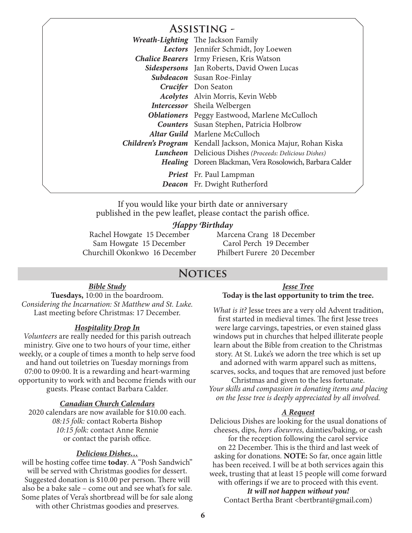**Assisting -** *Wreath-Lighting* The Jackson Family *Lectors* Jennifer Schmidt, Joy Loewen *Chalice Bearers* Irmy Friesen, Kris Watson *Sidespersons* Jan Roberts, David Owen Lucas *Subdeacon* Susan Roe-Finlay *Crucifer* Don Seaton *Acolytes* Alvin Morris, Kevin Webb *Intercessor* Sheila Welbergen *Oblationers* Peggy Eastwood, Marlene McCulloch *Counters* Susan Stephen, Patricia Holbrow *Altar Guild* Marlene McCulloch *Children's Program* Kendall Jackson, Monica Majur, Rohan Kiska *Luncheon* Delicious Dishes *(Proceeds: Delicious Dishes) Healing* Doreen Blackman, Vera Rosolowich, Barbara Calder *Priest* Fr. Paul Lampman *Deacon* Fr. Dwight Rutherford

If you would like your birth date or anniversary published in the pew leaflet, please contact the parish office.

#### *Happy Birthday*

Rachel Howgate 15 December Sam Howgate 15 December Churchill Okonkwo 16 December Marcena Crang 18 December Carol Perch 19 December Philbert Furere 20 December

# **Notices**

*Bible Study* **Tuesdays,** 10:00 in the boardroom. *Considering the Incarnation: St Matthew and St. Luke.* Last meeting before Christmas: 17 December.

#### *Hospitality Drop In*

*Volunteers* are really needed for this parish outreach ministry. Give one to two hours of your time, either weekly, or a couple of times a month to help serve food and hand out toiletries on Tuesday mornings from 07:00 to 09:00. It is a rewarding and heart-warming opportunity to work with and become friends with our guests. Please contact Barbara Calder.

#### *Canadian Church Calendars*

2020 calendars are now available for \$10.00 each. *08:15 folk:* contact Roberta Bishop *10:15 folk:* contact Anne Rennie or contact the parish office.

#### *Delicious Dishes…*

will be hosting coffee time **today**. A "Posh Sandwich" will be served with Christmas goodies for dessert. Suggested donation is \$10.00 per person. There will also be a bake sale – come out and see what's for sale. Some plates of Vera's shortbread will be for sale along with other Christmas goodies and preserves.

#### *Jesse Tree* **Today is the last opportunity to trim the tree.**

*What is it?* Jesse trees are a very old Advent tradition, first started in medieval times. The first Jesse trees were large carvings, tapestries, or even stained glass windows put in churches that helped illiterate people learn about the Bible from creation to the Christmas story. At St. Luke's we adorn the tree which is set up and adorned with warm apparel such as mittens, scarves, socks, and toques that are removed just before

Christmas and given to the less fortunate. *Your skills and compassion in donating items and placing on the Jesse tree is deeply appreciated by all involved.*

#### *A Request*

Delicious Dishes are looking for the usual donations of cheeses, dips, *hors d'oeuvres*, dainties/baking, or cash for the reception following the carol service on 22 December. This is the third and last week of asking for donations. **NOTE:** So far, once again little has been received. I will be at both services again this week, trusting that at least 15 people will come forward with offerings if we are to proceed with this event.

*It will not happen without you!* Contact Bertha Brant <bertbrant@gmail.com)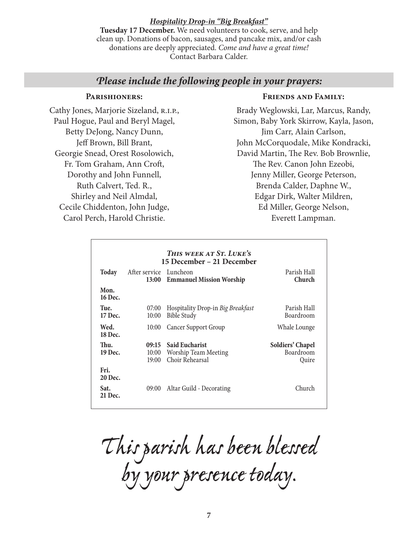#### *Hospitality Drop-in "Big Breakfast"*

**Tuesday 17 December.** We need volunteers to cook, serve, and help clean up. Donations of bacon, sausages, and pancake mix, and/or cash donations are deeply appreciated. *Come and have a great time!* Contact Barbara Calder.

## *Please include the following people in your prayers:*

#### **Parishioners:**

Cathy Jones, Marjorie Sizeland, R.I.P., Paul Hogue, Paul and Beryl Magel, Betty DeJong, Nancy Dunn, Jeff Brown, Bill Brant, Georgie Snead, Orest Rosolowich, Fr. Tom Graham, Ann Croft, Dorothy and John Funnell, Ruth Calvert, Ted. R., Shirley and Neil Almdal, Cecile Chiddenton, John Judge, Carol Perch, Harold Christie.

#### **Friends and Family:**

Brady Weglowski, Lar, Marcus, Randy, Simon, Baby York Skirrow, Kayla, Jason, Jim Carr, Alain Carlson, John McCorquodale, Mike Kondracki, David Martin, The Rev. Bob Brownlie, The Rev. Canon John Ezeobi, Jenny Miller, George Peterson, Brenda Calder, Daphne W., Edgar Dirk, Walter Mildren, Ed Miller, George Nelson, Everett Lampman.

| This week at St. Luke's<br>15 December – 21 December |                        |                                                                        |                                        |
|------------------------------------------------------|------------------------|------------------------------------------------------------------------|----------------------------------------|
| <b>Today</b>                                         | After service Luncheon | 13:00 Emmanuel Mission Worship                                         | Parish Hall<br>Church                  |
| Mon.<br>16 Dec.                                      |                        |                                                                        |                                        |
| Tue.<br>17 Dec.                                      | 07:00<br>10:00         | Hospitality Drop-in Big Breakfast<br><b>Bible Study</b>                | Parish Hall<br>Boardroom               |
| Wed.<br>18 Dec.                                      | 10:00                  | <b>Cancer Support Group</b>                                            | Whale Lounge                           |
| Thu.<br>19 Dec.                                      | 09:15<br>19:00         | <b>Said Eucharist</b><br>10:00 Worship Team Meeting<br>Choir Rehearsal | Soldiers' Chapel<br>Boardroom<br>Quire |
| Fri.<br>20 Dec.<br>Sat.<br>21 Dec.                   | 09:00                  | Altar Guild - Decorating                                               | Church                                 |

*This parish has been blessed by your presence today.*